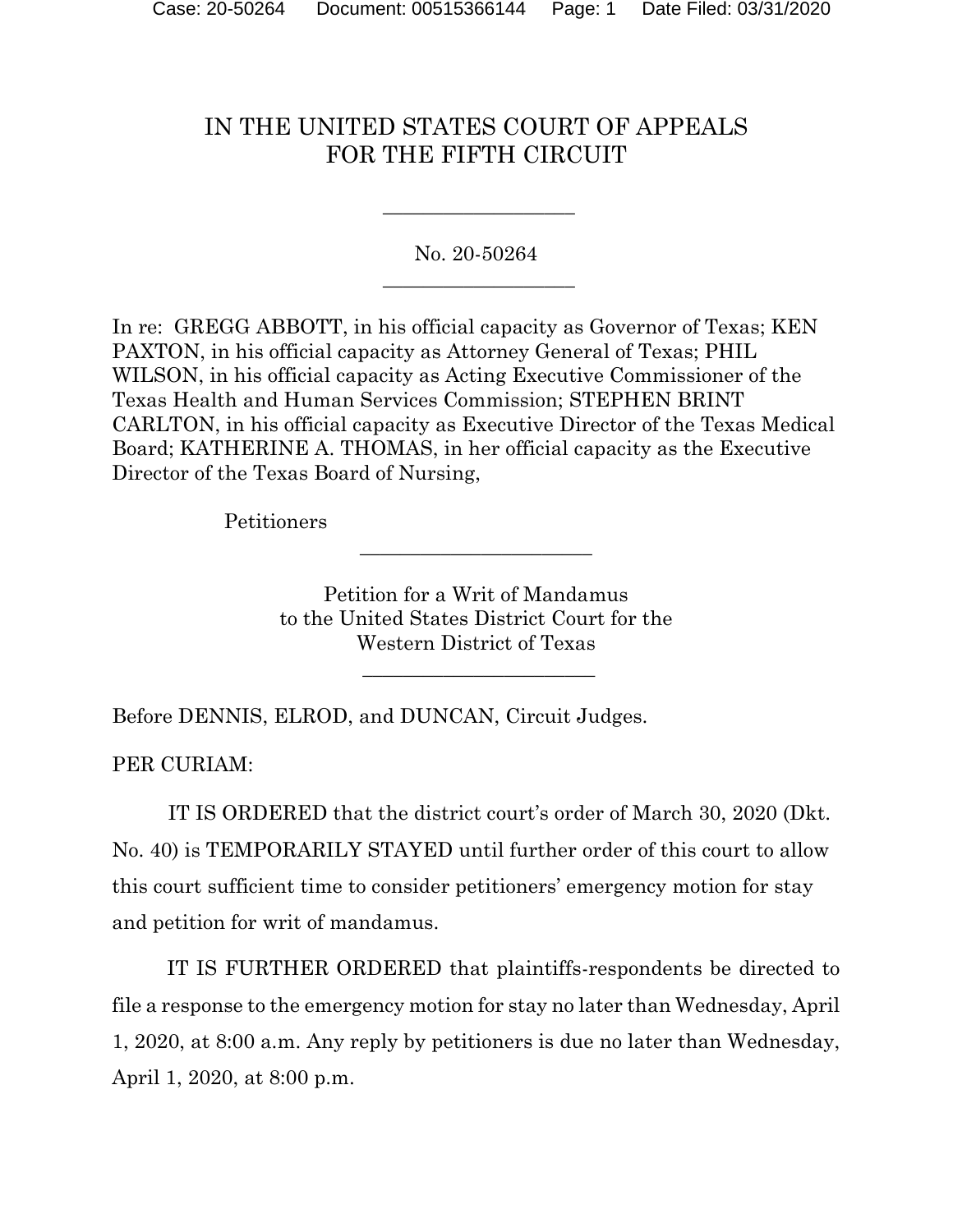## IN THE UNITED STATES COURT OF APPEALS FOR THE FIFTH CIRCUIT

No. 20-50264  $\frac{1}{2}$  ,  $\frac{1}{2}$  ,  $\frac{1}{2}$  ,  $\frac{1}{2}$  ,  $\frac{1}{2}$  ,  $\frac{1}{2}$  ,  $\frac{1}{2}$  ,  $\frac{1}{2}$  ,  $\frac{1}{2}$  ,  $\frac{1}{2}$  ,  $\frac{1}{2}$  ,  $\frac{1}{2}$  ,  $\frac{1}{2}$  ,  $\frac{1}{2}$  ,  $\frac{1}{2}$  ,  $\frac{1}{2}$  ,  $\frac{1}{2}$  ,  $\frac{1}{2}$  ,  $\frac{1$ 

 $\frac{1}{2}$  ,  $\frac{1}{2}$  ,  $\frac{1}{2}$  ,  $\frac{1}{2}$  ,  $\frac{1}{2}$  ,  $\frac{1}{2}$  ,  $\frac{1}{2}$  ,  $\frac{1}{2}$  ,  $\frac{1}{2}$  ,  $\frac{1}{2}$  ,  $\frac{1}{2}$  ,  $\frac{1}{2}$  ,  $\frac{1}{2}$  ,  $\frac{1}{2}$  ,  $\frac{1}{2}$  ,  $\frac{1}{2}$  ,  $\frac{1}{2}$  ,  $\frac{1}{2}$  ,  $\frac{1$ 

In re: GREGG ABBOTT, in his official capacity as Governor of Texas; KEN PAXTON, in his official capacity as Attorney General of Texas; PHIL WILSON, in his official capacity as Acting Executive Commissioner of the Texas Health and Human Services Commission; STEPHEN BRINT CARLTON, in his official capacity as Executive Director of the Texas Medical Board; KATHERINE A. THOMAS, in her official capacity as the Executive Director of the Texas Board of Nursing,

Petitioners

Petition for a Writ of Mandamus to the United States District Court for the Western District of Texas

 $\overline{\phantom{a}}$  , and the set of the set of the set of the set of the set of the set of the set of the set of the set of the set of the set of the set of the set of the set of the set of the set of the set of the set of the s

 $\frac{1}{2}$  ,  $\frac{1}{2}$  ,  $\frac{1}{2}$  ,  $\frac{1}{2}$  ,  $\frac{1}{2}$  ,  $\frac{1}{2}$  ,  $\frac{1}{2}$  ,  $\frac{1}{2}$  ,  $\frac{1}{2}$  ,  $\frac{1}{2}$  ,  $\frac{1}{2}$  ,  $\frac{1}{2}$  ,  $\frac{1}{2}$  ,  $\frac{1}{2}$  ,  $\frac{1}{2}$  ,  $\frac{1}{2}$  ,  $\frac{1}{2}$  ,  $\frac{1}{2}$  ,  $\frac{1$ 

Before DENNIS, ELROD, and DUNCAN, Circuit Judges.

PER CURIAM:

IT IS ORDERED that the district court's order of March 30, 2020 (Dkt. No. 40) is TEMPORARILY STAYED until further order of this court to allow this court sufficient time to consider petitioners' emergency motion for stay and petition for writ of mandamus.

IT IS FURTHER ORDERED that plaintiffs-respondents be directed to file a response to the emergency motion for stay no later than Wednesday, April 1, 2020, at 8:00 a.m. Any reply by petitioners is due no later than Wednesday, April 1, 2020, at 8:00 p.m.